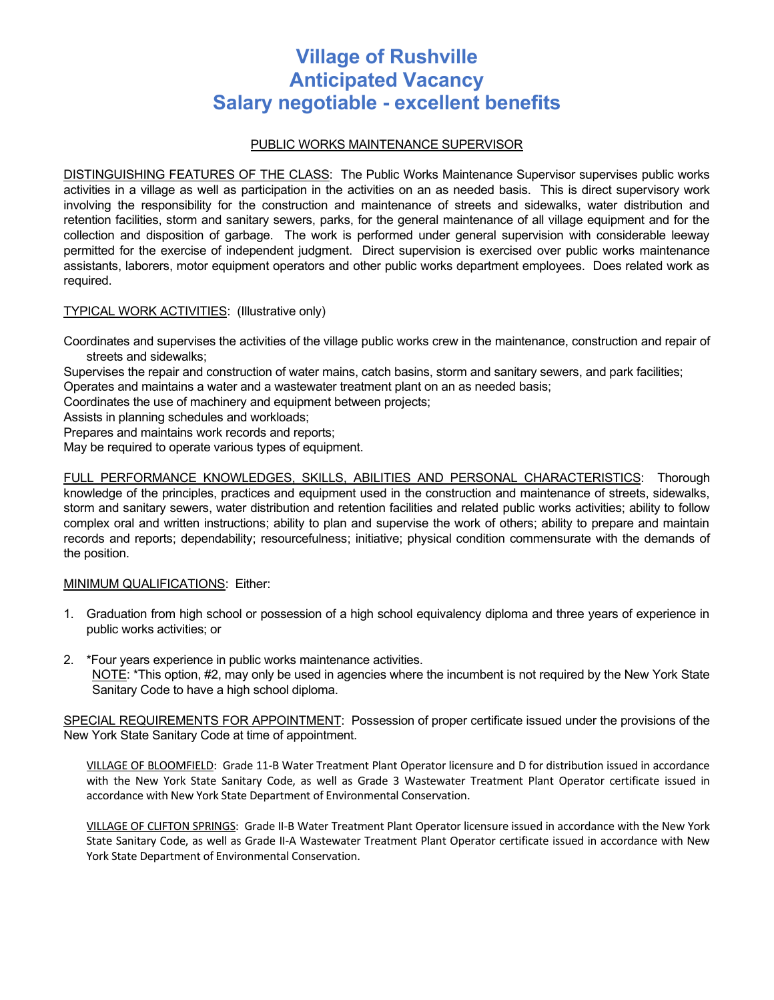# **Village of Rushville Anticipated Vacancy Salary negotiable - excellent benefits**

## PUBLIC WORKS MAINTENANCE SUPERVISOR

DISTINGUISHING FEATURES OF THE CLASS: The Public Works Maintenance Supervisor supervises public works activities in a village as well as participation in the activities on an as needed basis. This is direct supervisory work involving the responsibility for the construction and maintenance of streets and sidewalks, water distribution and retention facilities, storm and sanitary sewers, parks, for the general maintenance of all village equipment and for the collection and disposition of garbage. The work is performed under general supervision with considerable leeway permitted for the exercise of independent judgment. Direct supervision is exercised over public works maintenance assistants, laborers, motor equipment operators and other public works department employees. Does related work as required.

TYPICAL WORK ACTIVITIES: (Illustrative only)

Coordinates and supervises the activities of the village public works crew in the maintenance, construction and repair of streets and sidewalks;

Supervises the repair and construction of water mains, catch basins, storm and sanitary sewers, and park facilities;

Operates and maintains a water and a wastewater treatment plant on an as needed basis;

Coordinates the use of machinery and equipment between projects;

Assists in planning schedules and workloads;

Prepares and maintains work records and reports;

May be required to operate various types of equipment.

FULL PERFORMANCE KNOWLEDGES, SKILLS, ABILITIES AND PERSONAL CHARACTERISTICS: Thorough knowledge of the principles, practices and equipment used in the construction and maintenance of streets, sidewalks, storm and sanitary sewers, water distribution and retention facilities and related public works activities; ability to follow complex oral and written instructions; ability to plan and supervise the work of others; ability to prepare and maintain records and reports; dependability; resourcefulness; initiative; physical condition commensurate with the demands of the position.

## MINIMUM QUALIFICATIONS: Either:

- 1. Graduation from high school or possession of a high school equivalency diploma and three years of experience in public works activities; or
- 2. \*Four years experience in public works maintenance activities. NOTE: \*This option, #2, may only be used in agencies where the incumbent is not required by the New York State Sanitary Code to have a high school diploma.

SPECIAL REQUIREMENTS FOR APPOINTMENT: Possession of proper certificate issued under the provisions of the New York State Sanitary Code at time of appointment.

VILLAGE OF BLOOMFIELD: Grade 11-B Water Treatment Plant Operator licensure and D for distribution issued in accordance with the New York State Sanitary Code, as well as Grade 3 Wastewater Treatment Plant Operator certificate issued in accordance with New York State Department of Environmental Conservation.

VILLAGE OF CLIFTON SPRINGS: Grade II-B Water Treatment Plant Operator licensure issued in accordance with the New York State Sanitary Code, as well as Grade II-A Wastewater Treatment Plant Operator certificate issued in accordance with New York State Department of Environmental Conservation.